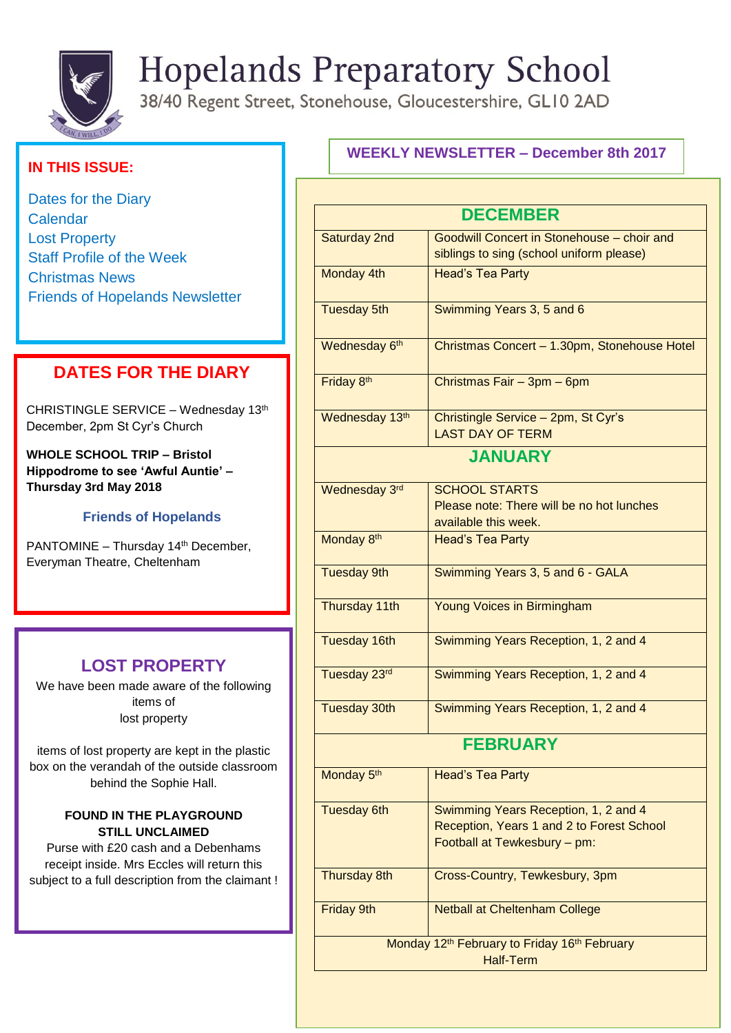

# **Hopelands Preparatory School**

38/40 Regent Street, Stonehouse, Gloucestershire, GL10 2AD

## **IN THIS ISSUE:**

Dates for the Diary **Calendar** Lost Property Staff Profile of the Week Christmas News Friends of Hopelands Newsletter

## **DATES FOR THE DIARY**

CHRISTINGLE SERVICE – Wednesday 13th December, 2pm St Cyr's Church

 **Thursday 3rd May 2018 WHOLE SCHOOL TRIP – Bristol Hippodrome to see 'Awful Auntie' –**

#### **Friends of Hopelands**

PANTOMINE - Thursday 14<sup>th</sup> December, Everyman Theatre, Cheltenham

## **LOST PROPERTY**

We have been made aware of the following items of lost property

items of lost property are kept in the plastic box on the verandah of the outside classroom behind the Sophie Hall.

#### **FOUND IN THE PLAYGROUND STILL UNCLAIMED**

Purse with £20 cash and a Debenhams receipt inside. Mrs Eccles will return this subject to a full description from the claimant !

## **WEEKLY NEWSLETTER – December 8th 2017**

| <b>DECEMBER</b>                                                      |                                                   |
|----------------------------------------------------------------------|---------------------------------------------------|
| Saturday 2nd                                                         | <b>Goodwill Concert in Stonehouse - choir and</b> |
|                                                                      | siblings to sing (school uniform please)          |
| Monday 4th                                                           | <b>Head's Tea Party</b>                           |
|                                                                      |                                                   |
| <b>Tuesday 5th</b>                                                   | Swimming Years 3, 5 and 6                         |
|                                                                      |                                                   |
| Wednesday 6th                                                        | Christmas Concert - 1.30pm, Stonehouse Hotel      |
|                                                                      |                                                   |
| Friday 8th                                                           | Christmas Fair - 3pm - 6pm                        |
|                                                                      |                                                   |
| Wednesday 13th                                                       | Christingle Service - 2pm, St Cyr's               |
|                                                                      | <b>LAST DAY OF TERM</b>                           |
| <b>JANUARY</b>                                                       |                                                   |
|                                                                      |                                                   |
| Wednesday 3rd                                                        | <b>SCHOOL STARTS</b>                              |
|                                                                      | Please note: There will be no hot lunches         |
|                                                                      | available this week.                              |
| Monday 8th                                                           | <b>Head's Tea Party</b>                           |
|                                                                      |                                                   |
| <b>Tuesday 9th</b>                                                   | Swimming Years 3, 5 and 6 - GALA                  |
|                                                                      |                                                   |
| Thursday 11th                                                        | Young Voices in Birmingham                        |
|                                                                      |                                                   |
| Tuesday 16th                                                         | Swimming Years Reception, 1, 2 and 4              |
|                                                                      |                                                   |
| Tuesday 23rd                                                         | Swimming Years Reception, 1, 2 and 4              |
|                                                                      |                                                   |
| <b>Tuesday 30th</b>                                                  | Swimming Years Reception, 1, 2 and 4              |
|                                                                      |                                                   |
| <b>FEBRUARY</b>                                                      |                                                   |
| Monday 5 <sup>th</sup>                                               | <b>Head's Tea Party</b>                           |
|                                                                      |                                                   |
| <b>Tuesday 6th</b>                                                   | Swimming Years Reception, 1, 2 and 4              |
|                                                                      | Reception, Years 1 and 2 to Forest School         |
|                                                                      | Football at Tewkesbury - pm:                      |
|                                                                      |                                                   |
| Thursday 8th                                                         | Cross-Country, Tewkesbury, 3pm                    |
|                                                                      |                                                   |
| Friday 9th                                                           | <b>Netball at Cheltenham College</b>              |
|                                                                      |                                                   |
| Monday 12 <sup>th</sup> February to Friday 16 <sup>th</sup> February |                                                   |
| <b>Half-Term</b>                                                     |                                                   |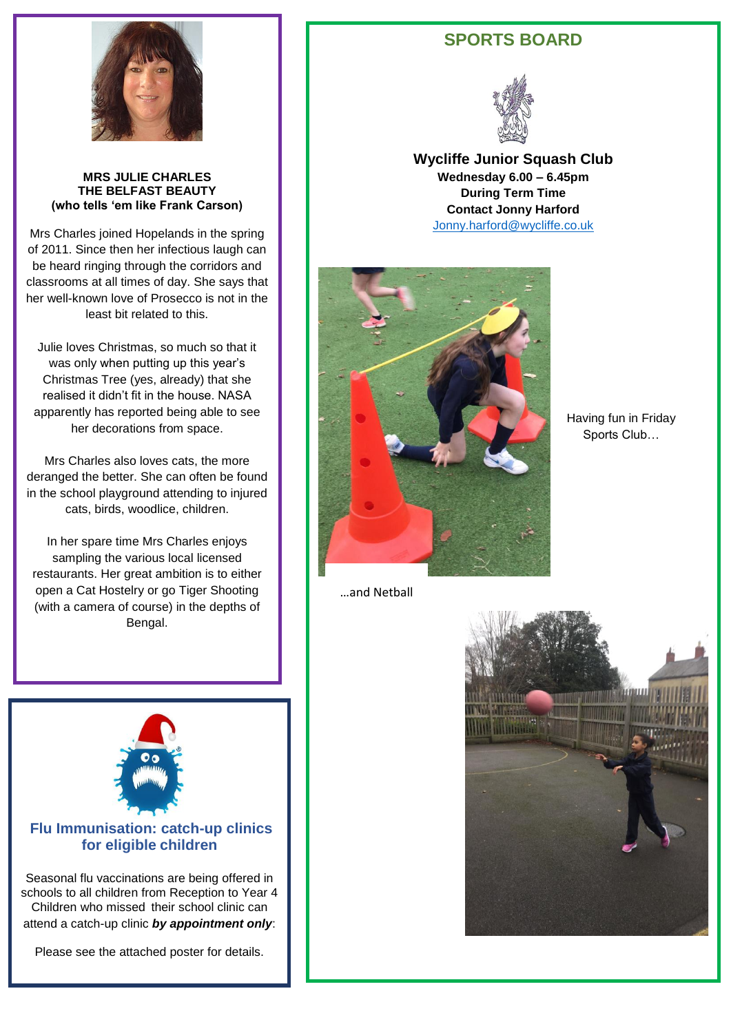

#### **MRS JULIE CHARLES THE BELFAST BEAUTY (who tells 'em like Frank Carson)**

Mrs Charles joined Hopelands in the spring of 2011. Since then her infectious laugh can be heard ringing through the corridors and classrooms at all times of day. She says that her well-known love of Prosecco is not in the least bit related to this.

Julie loves Christmas, so much so that it was only when putting up this year's Christmas Tree (yes, already) that she realised it didn't fit in the house. NASA apparently has reported being able to see her decorations from space.

Mrs Charles also loves cats, the more deranged the better. She can often be found in the school playground attending to injured cats, birds, woodlice, children.

In her spare time Mrs Charles enjoys sampling the various local licensed restaurants. Her great ambition is to either open a Cat Hostelry or go Tiger Shooting (with a camera of course) in the depths of Bengal.

## **SPORTS BOARD**



**Wycliffe Junior Squash Club Wednesday 6.00 – 6.45pm During Term Time Contact Jonny Harford** [Jonny.harford@wycliffe.co.uk](mailto:Jonny.harford@wycliffe.co.uk)



Having fun in Friday Sports Club…

…and Netball



#### **Flu Immunisation: catch-up clinics for eligible children**

Seasonal flu vaccinations are being offered in schools to all children from Reception to Year 4 Children who missed their school clinic can attend a catch-up clinic *by appointment only*:

Please see the attached poster for details.